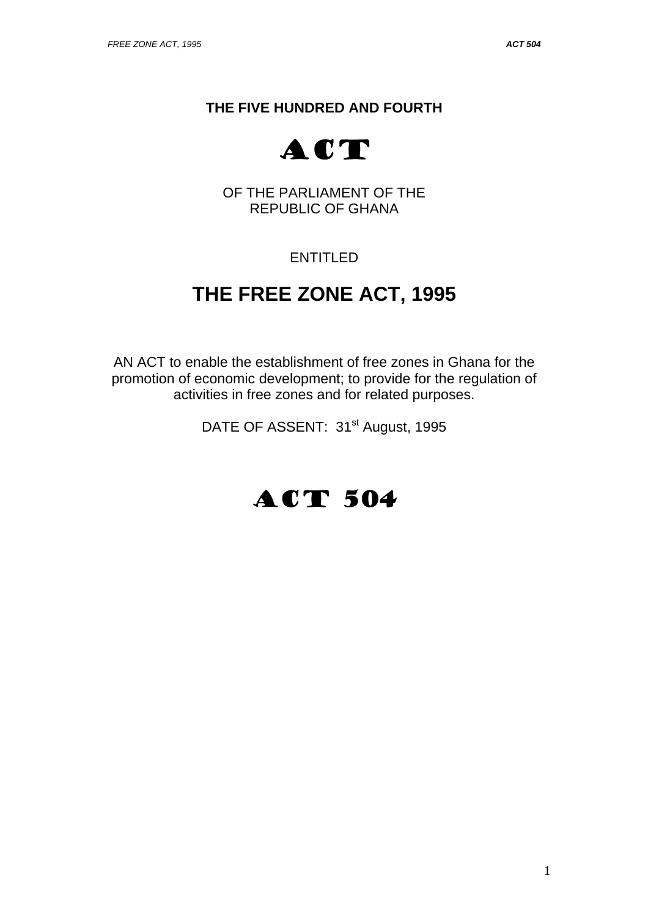## **THE FIVE HUNDRED AND FOURTH**



OF THE PARLIAMENT OF THE REPUBLIC OF GHANA

## ENTITLED

# **THE FREE ZONE ACT, 1995**

AN ACT to enable the establishment of free zones in Ghana for the promotion of economic development; to provide for the regulation of activities in free zones and for related purposes.

DATE OF ASSENT: 31<sup>st</sup> August, 1995

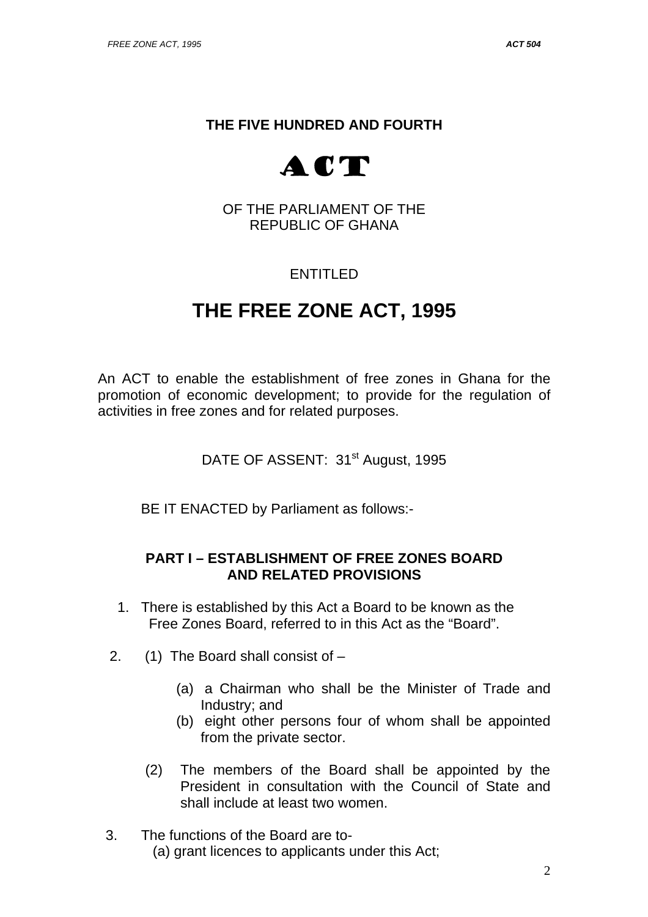## **THE FIVE HUNDRED AND FOURTH**



OF THE PARLIAMENT OF THE REPUBLIC OF GHANA

## ENTITLED

# **THE FREE ZONE ACT, 1995**

An ACT to enable the establishment of free zones in Ghana for the promotion of economic development; to provide for the regulation of activities in free zones and for related purposes.

DATE OF ASSENT: 31<sup>st</sup> August, 1995

BE IT ENACTED by Parliament as follows:-

### **PART I – ESTABLISHMENT OF FREE ZONES BOARD AND RELATED PROVISIONS**

- 1. There is established by this Act a Board to be known as the Free Zones Board, referred to in this Act as the "Board".
- 2. (1) The Board shall consist of
	- (a) a Chairman who shall be the Minister of Trade and Industry; and
	- (b) eight other persons four of whom shall be appointed from the private sector.
	- (2) The members of the Board shall be appointed by the President in consultation with the Council of State and shall include at least two women.
- 3. The functions of the Board are to- (a) grant licences to applicants under this Act;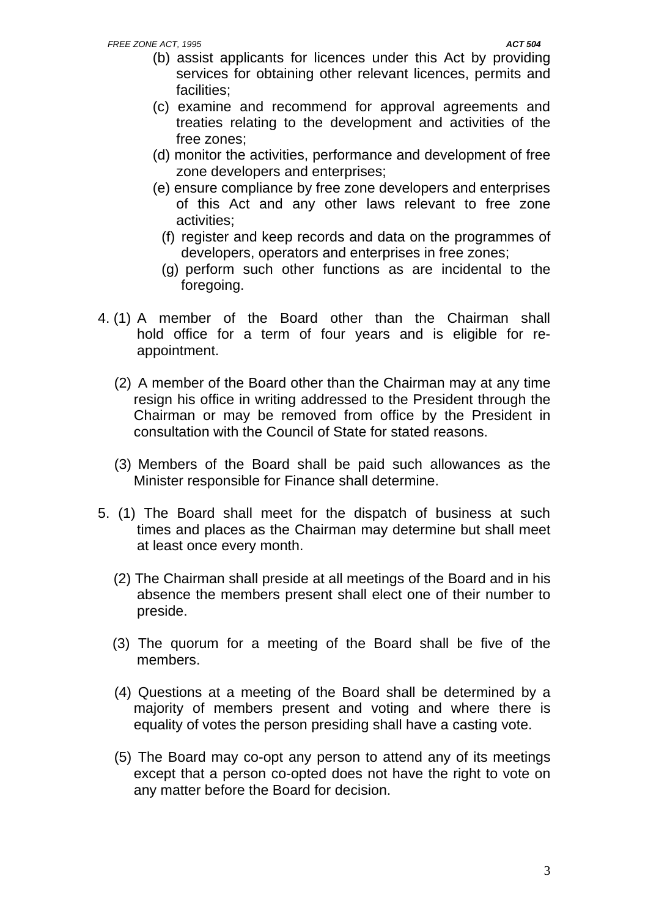- (b) assist applicants for licences under this Act by providing services for obtaining other relevant licences, permits and facilities;
- (c) examine and recommend for approval agreements and treaties relating to the development and activities of the free zones;
- (d) monitor the activities, performance and development of free zone developers and enterprises;
- (e) ensure compliance by free zone developers and enterprises of this Act and any other laws relevant to free zone activities;
	- (f) register and keep records and data on the programmes of developers, operators and enterprises in free zones;
	- (g) perform such other functions as are incidental to the foregoing.
- 4. (1) A member of the Board other than the Chairman shall hold office for a term of four years and is eligible for reappointment.
	- (2) A member of the Board other than the Chairman may at any time resign his office in writing addressed to the President through the Chairman or may be removed from office by the President in consultation with the Council of State for stated reasons.
	- (3) Members of the Board shall be paid such allowances as the Minister responsible for Finance shall determine.
- 5. (1) The Board shall meet for the dispatch of business at such times and places as the Chairman may determine but shall meet at least once every month.
	- (2) The Chairman shall preside at all meetings of the Board and in his absence the members present shall elect one of their number to preside.
	- (3) The quorum for a meeting of the Board shall be five of the members.
	- (4) Questions at a meeting of the Board shall be determined by a majority of members present and voting and where there is equality of votes the person presiding shall have a casting vote.
	- (5) The Board may co-opt any person to attend any of its meetings except that a person co-opted does not have the right to vote on any matter before the Board for decision.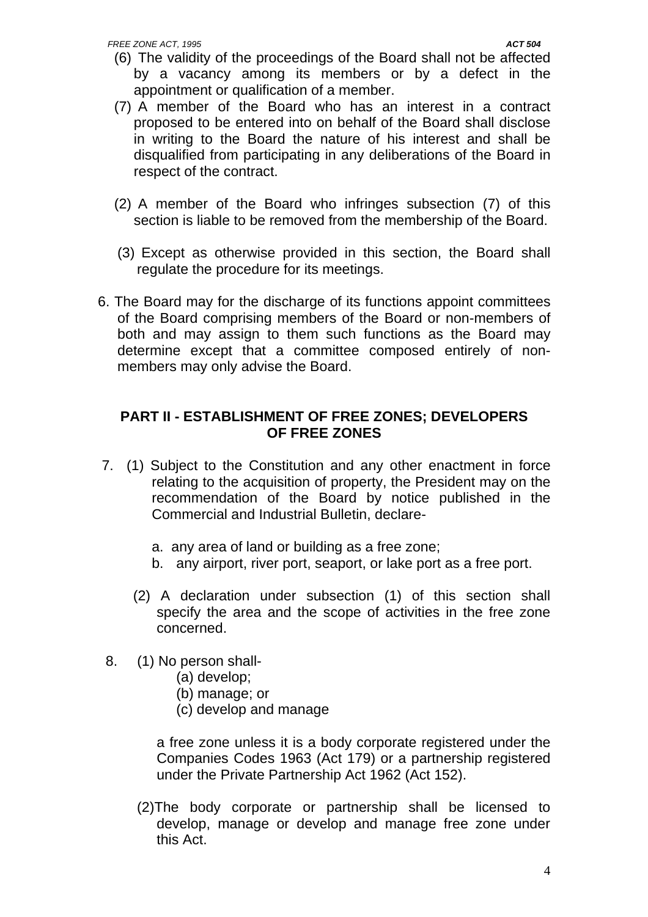- (6) The validity of the proceedings of the Board shall not be affected by a vacancy among its members or by a defect in the appointment or qualification of a member.
- (7) A member of the Board who has an interest in a contract proposed to be entered into on behalf of the Board shall disclose in writing to the Board the nature of his interest and shall be disqualified from participating in any deliberations of the Board in respect of the contract.
- (2) A member of the Board who infringes subsection (7) of this section is liable to be removed from the membership of the Board.
- (3) Except as otherwise provided in this section, the Board shall regulate the procedure for its meetings.
- 6. The Board may for the discharge of its functions appoint committees of the Board comprising members of the Board or non-members of both and may assign to them such functions as the Board may determine except that a committee composed entirely of nonmembers may only advise the Board.

### **PART II - ESTABLISHMENT OF FREE ZONES; DEVELOPERS OF FREE ZONES**

- 7. (1) Subject to the Constitution and any other enactment in force relating to the acquisition of property, the President may on the recommendation of the Board by notice published in the Commercial and Industrial Bulletin, declare
	- a. any area of land or building as a free zone;
	- b. any airport, river port, seaport, or lake port as a free port.
	- (2) A declaration under subsection (1) of this section shall specify the area and the scope of activities in the free zone concerned.
- 8. (1) No person shall-
	- (a) develop;
	- (b) manage; or
	- (c) develop and manage

 a free zone unless it is a body corporate registered under the Companies Codes 1963 (Act 179) or a partnership registered under the Private Partnership Act 1962 (Act 152).

(2)The body corporate or partnership shall be licensed to develop, manage or develop and manage free zone under this Act.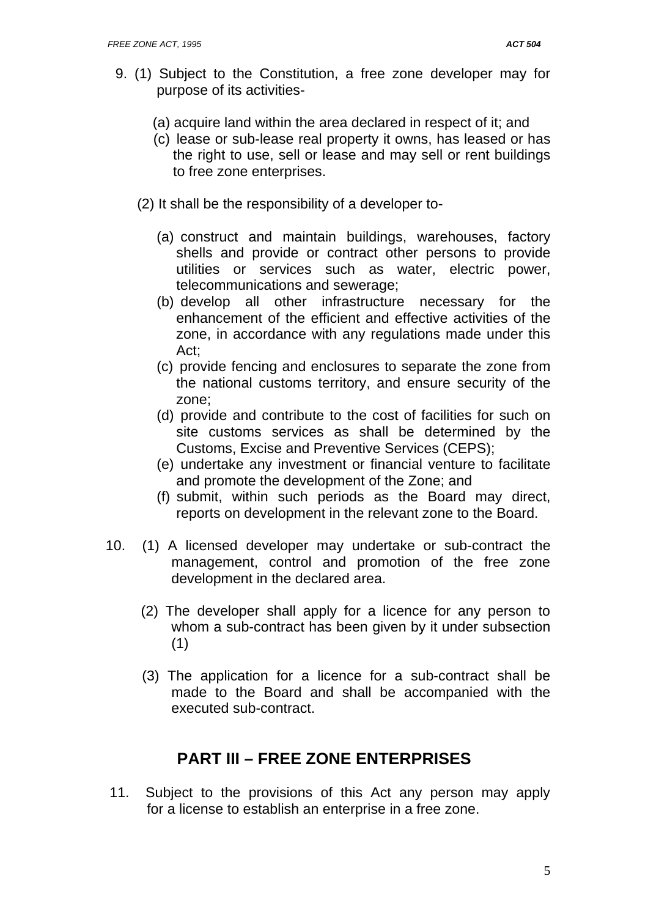- 9. (1) Subject to the Constitution, a free zone developer may for purpose of its activities-
	- (a) acquire land within the area declared in respect of it; and
	- (c) lease or sub-lease real property it owns, has leased or has the right to use, sell or lease and may sell or rent buildings to free zone enterprises.
	- (2) It shall be the responsibility of a developer to-
		- (a) construct and maintain buildings, warehouses, factory shells and provide or contract other persons to provide utilities or services such as water, electric power, telecommunications and sewerage;
		- (b) develop all other infrastructure necessary for the enhancement of the efficient and effective activities of the zone, in accordance with any regulations made under this Act;
		- (c) provide fencing and enclosures to separate the zone from the national customs territory, and ensure security of the zone;
		- (d) provide and contribute to the cost of facilities for such on site customs services as shall be determined by the Customs, Excise and Preventive Services (CEPS);
		- (e) undertake any investment or financial venture to facilitate and promote the development of the Zone; and
		- (f) submit, within such periods as the Board may direct, reports on development in the relevant zone to the Board.
- 10. (1) A licensed developer may undertake or sub-contract the management, control and promotion of the free zone development in the declared area.
	- (2) The developer shall apply for a licence for any person to whom a sub-contract has been given by it under subsection (1)
	- (3) The application for a licence for a sub-contract shall be made to the Board and shall be accompanied with the executed sub-contract.

## **PART III – FREE ZONE ENTERPRISES**

 11. Subject to the provisions of this Act any person may apply for a license to establish an enterprise in a free zone.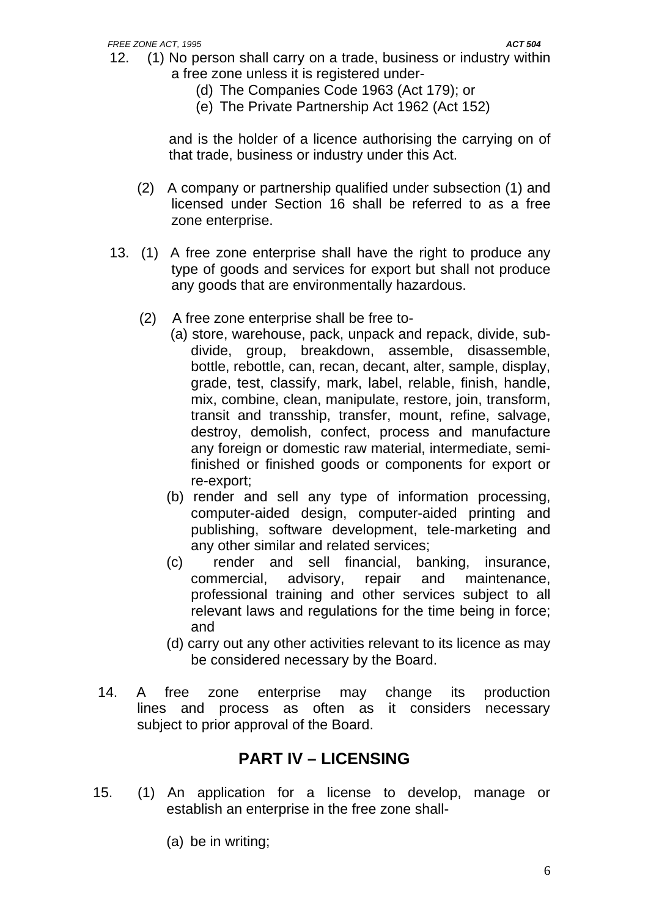- 12. (1) No person shall carry on a trade, business or industry within a free zone unless it is registered under-
	- (d) The Companies Code 1963 (Act 179); or
	- (e) The Private Partnership Act 1962 (Act 152)

and is the holder of a licence authorising the carrying on of that trade, business or industry under this Act.

- (2) A company or partnership qualified under subsection (1) and licensed under Section 16 shall be referred to as a free zone enterprise.
- 13. (1) A free zone enterprise shall have the right to produce any type of goods and services for export but shall not produce any goods that are environmentally hazardous.
	- (2) A free zone enterprise shall be free to-
		- (a) store, warehouse, pack, unpack and repack, divide, subdivide, group, breakdown, assemble, disassemble, bottle, rebottle, can, recan, decant, alter, sample, display, grade, test, classify, mark, label, relable, finish, handle, mix, combine, clean, manipulate, restore, join, transform, transit and transship, transfer, mount, refine, salvage, destroy, demolish, confect, process and manufacture any foreign or domestic raw material, intermediate, semifinished or finished goods or components for export or re-export;
		- (b) render and sell any type of information processing, computer-aided design, computer-aided printing and publishing, software development, tele-marketing and any other similar and related services;
		- (c) render and sell financial, banking, insurance, commercial, advisory, repair and maintenance, professional training and other services subject to all relevant laws and regulations for the time being in force; and
		- (d) carry out any other activities relevant to its licence as may be considered necessary by the Board.
- 14. A free zone enterprise may change its production lines and process as often as it considers necessary subject to prior approval of the Board.

## **PART IV – LICENSING**

- 15. (1) An application for a license to develop, manage or establish an enterprise in the free zone shall-
	- (a) be in writing;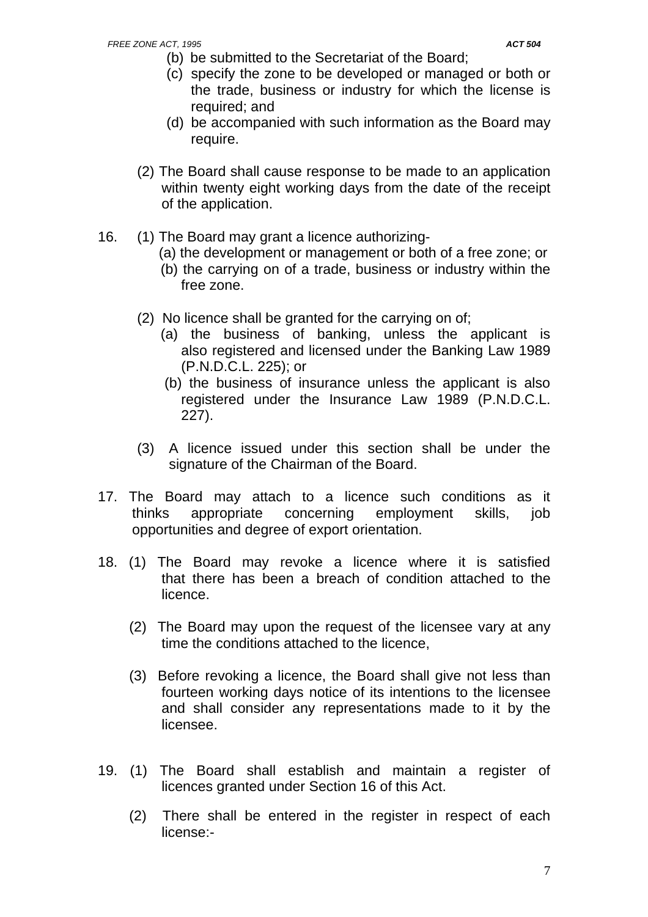- (b) be submitted to the Secretariat of the Board;
- (c) specify the zone to be developed or managed or both or the trade, business or industry for which the license is required; and
- (d) be accompanied with such information as the Board may require.
- (2) The Board shall cause response to be made to an application within twenty eight working days from the date of the receipt of the application.
- 16. (1) The Board may grant a licence authorizing-
	- (a) the development or management or both of a free zone; or
	- (b) the carrying on of a trade, business or industry within the free zone.
	- (2) No licence shall be granted for the carrying on of;
		- (a) the business of banking, unless the applicant is also registered and licensed under the Banking Law 1989 (P.N.D.C.L. 225); or
		- (b) the business of insurance unless the applicant is also registered under the Insurance Law 1989 (P.N.D.C.L. 227).
	- (3) A licence issued under this section shall be under the signature of the Chairman of the Board.
- 17. The Board may attach to a licence such conditions as it thinks appropriate concerning employment skills, job opportunities and degree of export orientation.
- 18. (1) The Board may revoke a licence where it is satisfied that there has been a breach of condition attached to the licence.
	- (2) The Board may upon the request of the licensee vary at any time the conditions attached to the licence,
	- (3) Before revoking a licence, the Board shall give not less than fourteen working days notice of its intentions to the licensee and shall consider any representations made to it by the licensee.
- 19. (1) The Board shall establish and maintain a register of licences granted under Section 16 of this Act.
	- (2) There shall be entered in the register in respect of each license:-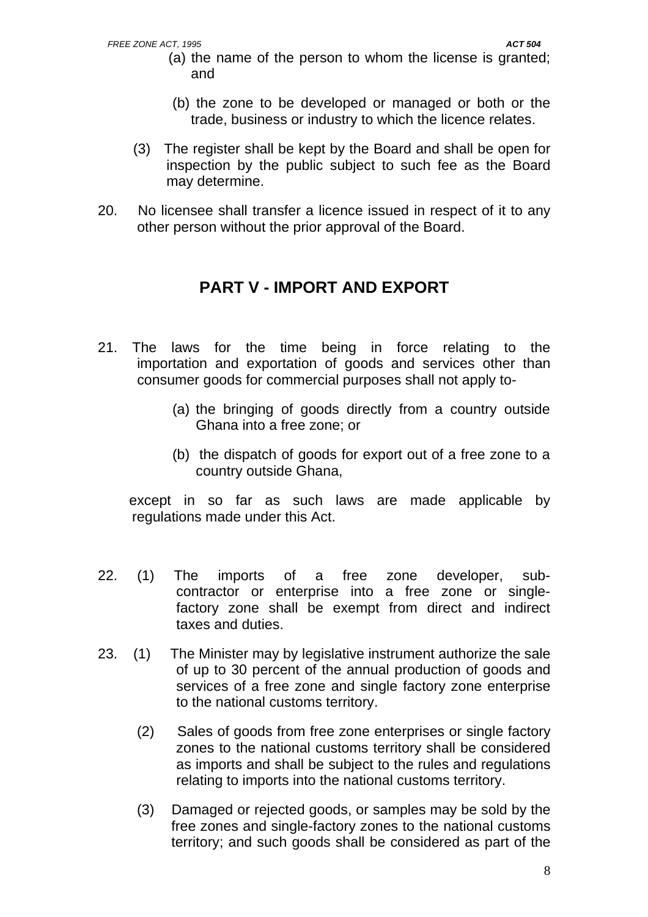- (a) the name of the person to whom the license is granted; and
- (b) the zone to be developed or managed or both or the trade, business or industry to which the licence relates.
- (3) The register shall be kept by the Board and shall be open for inspection by the public subject to such fee as the Board may determine.
- 20. No licensee shall transfer a licence issued in respect of it to any other person without the prior approval of the Board.

## **PART V - IMPORT AND EXPORT**

- 21. The laws for the time being in force relating to the importation and exportation of goods and services other than consumer goods for commercial purposes shall not apply to-
	- (a) the bringing of goods directly from a country outside Ghana into a free zone; or
	- (b) the dispatch of goods for export out of a free zone to a country outside Ghana,

 except in so far as such laws are made applicable by regulations made under this Act.

- 22. (1) The imports of a free zone developer, subcontractor or enterprise into a free zone or singlefactory zone shall be exempt from direct and indirect taxes and duties.
- 23. (1) The Minister may by legislative instrument authorize the sale of up to 30 percent of the annual production of goods and services of a free zone and single factory zone enterprise to the national customs territory.
	- (2) Sales of goods from free zone enterprises or single factory zones to the national customs territory shall be considered as imports and shall be subject to the rules and regulations relating to imports into the national customs territory.
	- (3) Damaged or rejected goods, or samples may be sold by the free zones and single-factory zones to the national customs territory; and such goods shall be considered as part of the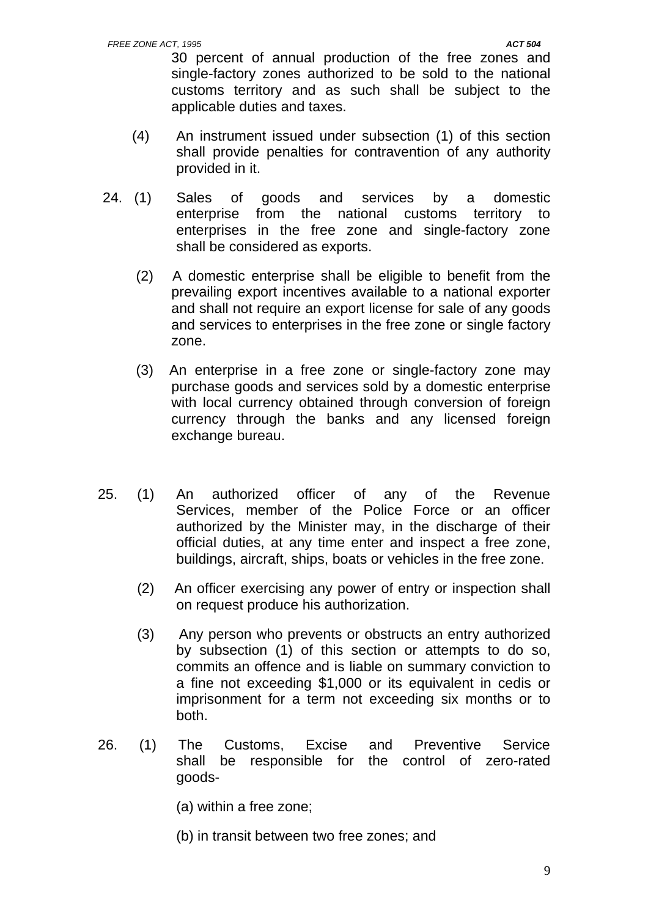30 percent of annual production of the free zones and single-factory zones authorized to be sold to the national customs territory and as such shall be subject to the applicable duties and taxes.

- (4) An instrument issued under subsection (1) of this section shall provide penalties for contravention of any authority provided in it.
- 24. (1) Sales of goods and services by a domestic enterprise from the national customs territory to enterprises in the free zone and single-factory zone shall be considered as exports.
	- (2) A domestic enterprise shall be eligible to benefit from the prevailing export incentives available to a national exporter and shall not require an export license for sale of any goods and services to enterprises in the free zone or single factory zone.
	- (3) An enterprise in a free zone or single-factory zone may purchase goods and services sold by a domestic enterprise with local currency obtained through conversion of foreign currency through the banks and any licensed foreign exchange bureau.
- 25. (1) An authorized officer of any of the Revenue Services, member of the Police Force or an officer authorized by the Minister may, in the discharge of their official duties, at any time enter and inspect a free zone, buildings, aircraft, ships, boats or vehicles in the free zone.
	- (2) An officer exercising any power of entry or inspection shall on request produce his authorization.
	- (3) Any person who prevents or obstructs an entry authorized by subsection (1) of this section or attempts to do so, commits an offence and is liable on summary conviction to a fine not exceeding \$1,000 or its equivalent in cedis or imprisonment for a term not exceeding six months or to both.
- 26. (1) The Customs, Excise and Preventive Service shall be responsible for the control of zero-rated goods-
	- (a) within a free zone;
	- (b) in transit between two free zones; and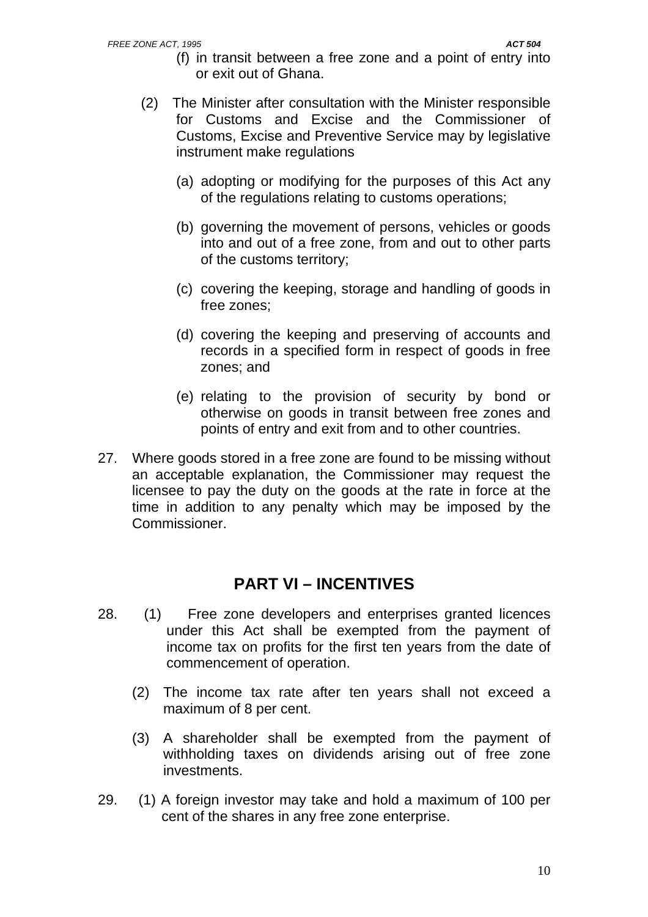- (f) in transit between a free zone and a point of entry into or exit out of Ghana.
- (2) The Minister after consultation with the Minister responsible for Customs and Excise and the Commissioner of Customs, Excise and Preventive Service may by legislative instrument make regulations
	- (a) adopting or modifying for the purposes of this Act any of the regulations relating to customs operations;
	- (b) governing the movement of persons, vehicles or goods into and out of a free zone, from and out to other parts of the customs territory;
	- (c) covering the keeping, storage and handling of goods in free zones;
	- (d) covering the keeping and preserving of accounts and records in a specified form in respect of goods in free zones; and
	- (e) relating to the provision of security by bond or otherwise on goods in transit between free zones and points of entry and exit from and to other countries.
- 27. Where goods stored in a free zone are found to be missing without an acceptable explanation, the Commissioner may request the licensee to pay the duty on the goods at the rate in force at the time in addition to any penalty which may be imposed by the Commissioner.

## **PART VI – INCENTIVES**

- 28. (1) Free zone developers and enterprises granted licences under this Act shall be exempted from the payment of income tax on profits for the first ten years from the date of commencement of operation.
	- (2) The income tax rate after ten years shall not exceed a maximum of 8 per cent.
	- (3) A shareholder shall be exempted from the payment of withholding taxes on dividends arising out of free zone investments.
- 29. (1) A foreign investor may take and hold a maximum of 100 per cent of the shares in any free zone enterprise.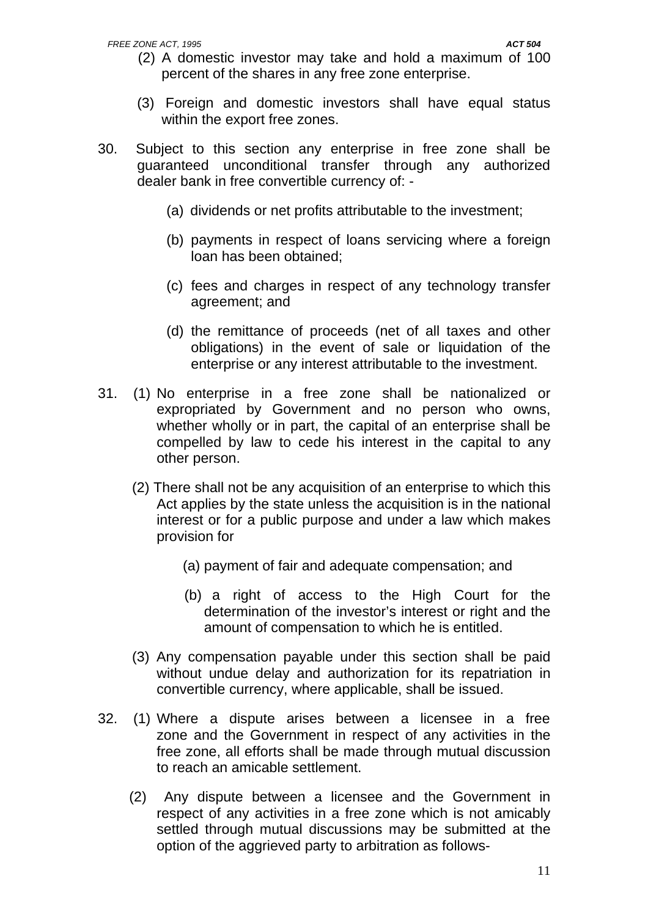- (2) A domestic investor may take and hold a maximum of 100 percent of the shares in any free zone enterprise.
- (3) Foreign and domestic investors shall have equal status within the export free zones.
- 30. Subject to this section any enterprise in free zone shall be guaranteed unconditional transfer through any authorized dealer bank in free convertible currency of: -
	- (a) dividends or net profits attributable to the investment;
	- (b) payments in respect of loans servicing where a foreign loan has been obtained;
	- (c) fees and charges in respect of any technology transfer agreement; and
	- (d) the remittance of proceeds (net of all taxes and other obligations) in the event of sale or liquidation of the enterprise or any interest attributable to the investment.
- 31. (1) No enterprise in a free zone shall be nationalized or expropriated by Government and no person who owns, whether wholly or in part, the capital of an enterprise shall be compelled by law to cede his interest in the capital to any other person.
	- (2) There shall not be any acquisition of an enterprise to which this Act applies by the state unless the acquisition is in the national interest or for a public purpose and under a law which makes provision for
		- (a) payment of fair and adequate compensation; and
		- (b) a right of access to the High Court for the determination of the investor's interest or right and the amount of compensation to which he is entitled.
	- (3) Any compensation payable under this section shall be paid without undue delay and authorization for its repatriation in convertible currency, where applicable, shall be issued.
- 32. (1) Where a dispute arises between a licensee in a free zone and the Government in respect of any activities in the free zone, all efforts shall be made through mutual discussion to reach an amicable settlement.
	- (2) Any dispute between a licensee and the Government in respect of any activities in a free zone which is not amicably settled through mutual discussions may be submitted at the option of the aggrieved party to arbitration as follows-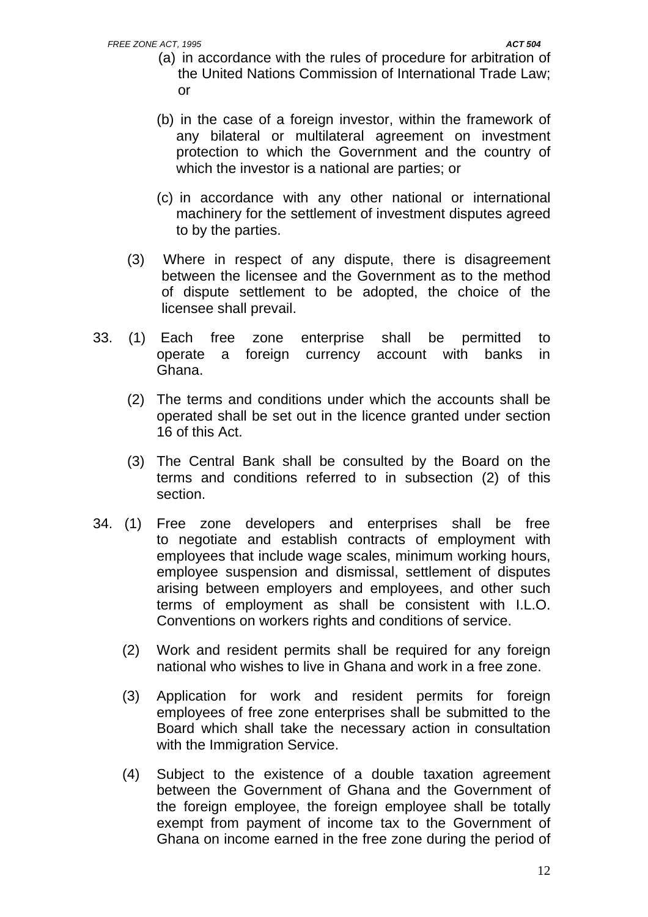- (a) in accordance with the rules of procedure for arbitration of the United Nations Commission of International Trade Law; or
- (b) in the case of a foreign investor, within the framework of any bilateral or multilateral agreement on investment protection to which the Government and the country of which the investor is a national are parties; or
- (c) in accordance with any other national or international machinery for the settlement of investment disputes agreed to by the parties.
- (3) Where in respect of any dispute, there is disagreement between the licensee and the Government as to the method of dispute settlement to be adopted, the choice of the licensee shall prevail.
- 33. (1) Each free zone enterprise shall be permitted to operate a foreign currency account with banks in Ghana.
	- (2) The terms and conditions under which the accounts shall be operated shall be set out in the licence granted under section 16 of this Act.
	- (3) The Central Bank shall be consulted by the Board on the terms and conditions referred to in subsection (2) of this section.
- 34. (1) Free zone developers and enterprises shall be free to negotiate and establish contracts of employment with employees that include wage scales, minimum working hours, employee suspension and dismissal, settlement of disputes arising between employers and employees, and other such terms of employment as shall be consistent with I.L.O. Conventions on workers rights and conditions of service.
	- (2) Work and resident permits shall be required for any foreign national who wishes to live in Ghana and work in a free zone.
	- (3) Application for work and resident permits for foreign employees of free zone enterprises shall be submitted to the Board which shall take the necessary action in consultation with the Immigration Service.
	- (4) Subject to the existence of a double taxation agreement between the Government of Ghana and the Government of the foreign employee, the foreign employee shall be totally exempt from payment of income tax to the Government of Ghana on income earned in the free zone during the period of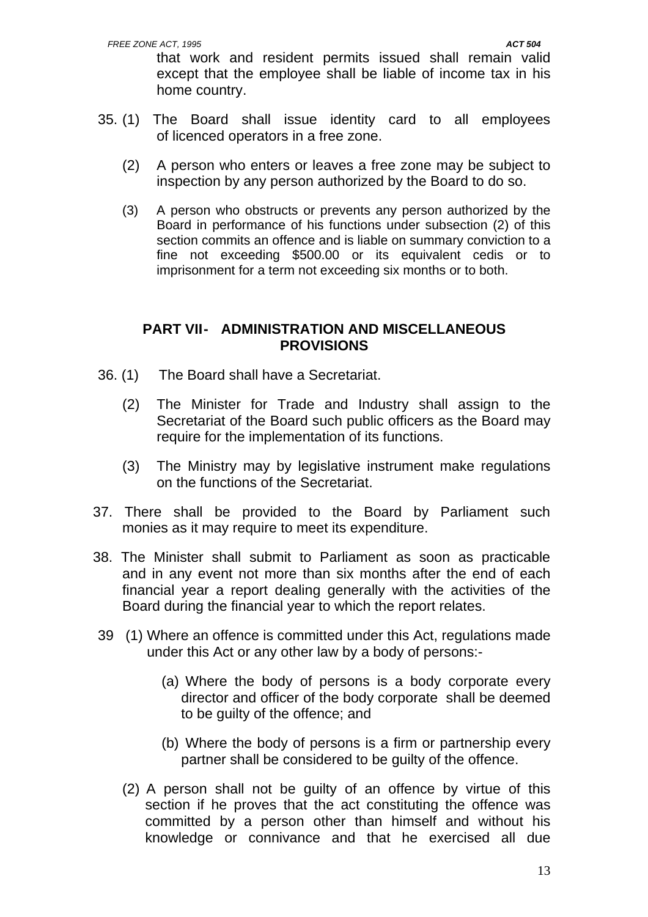that work and resident permits issued shall remain valid except that the employee shall be liable of income tax in his home country.

- 35. (1) The Board shall issue identity card to all employees of licenced operators in a free zone.
	- (2) A person who enters or leaves a free zone may be subject to inspection by any person authorized by the Board to do so.
	- (3) A person who obstructs or prevents any person authorized by the Board in performance of his functions under subsection (2) of this section commits an offence and is liable on summary conviction to a fine not exceeding \$500.00 or its equivalent cedis or to imprisonment for a term not exceeding six months or to both.

### **PART VII- ADMINISTRATION AND MISCELLANEOUS PROVISIONS**

- 36. (1) The Board shall have a Secretariat.
	- (2) The Minister for Trade and Industry shall assign to the Secretariat of the Board such public officers as the Board may require for the implementation of its functions.
	- (3) The Ministry may by legislative instrument make regulations on the functions of the Secretariat.
- 37. There shall be provided to the Board by Parliament such monies as it may require to meet its expenditure.
- 38. The Minister shall submit to Parliament as soon as practicable and in any event not more than six months after the end of each financial year a report dealing generally with the activities of the Board during the financial year to which the report relates.
- 39 (1) Where an offence is committed under this Act, regulations made under this Act or any other law by a body of persons:-
	- (a) Where the body of persons is a body corporate every director and officer of the body corporate shall be deemed to be guilty of the offence; and
	- (b) Where the body of persons is a firm or partnership every partner shall be considered to be guilty of the offence.
	- (2) A person shall not be guilty of an offence by virtue of this section if he proves that the act constituting the offence was committed by a person other than himself and without his knowledge or connivance and that he exercised all due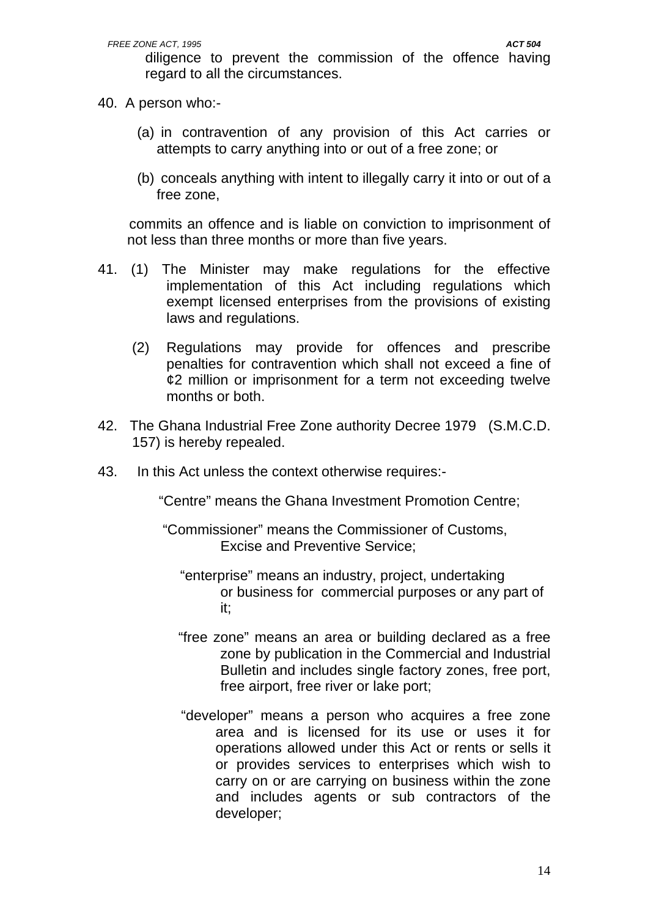diligence to prevent the commission of the offence having regard to all the circumstances.

- 40. A person who:-
	- (a) in contravention of any provision of this Act carries or attempts to carry anything into or out of a free zone; or
	- (b) conceals anything with intent to illegally carry it into or out of a free zone,

 commits an offence and is liable on conviction to imprisonment of not less than three months or more than five years.

- 41. (1) The Minister may make regulations for the effective implementation of this Act including regulations which exempt licensed enterprises from the provisions of existing laws and regulations.
	- (2) Regulations may provide for offences and prescribe penalties for contravention which shall not exceed a fine of ¢2 million or imprisonment for a term not exceeding twelve months or both.
- 42. The Ghana Industrial Free Zone authority Decree 1979 (S.M.C.D. 157) is hereby repealed.
- 43. In this Act unless the context otherwise requires:-

"Centre" means the Ghana Investment Promotion Centre;

 "Commissioner" means the Commissioner of Customs, Excise and Preventive Service;

- "enterprise" means an industry, project, undertaking or business for commercial purposes or any part of it;
- "free zone" means an area or building declared as a free zone by publication in the Commercial and Industrial Bulletin and includes single factory zones, free port, free airport, free river or lake port;
- "developer" means a person who acquires a free zone area and is licensed for its use or uses it for operations allowed under this Act or rents or sells it or provides services to enterprises which wish to carry on or are carrying on business within the zone and includes agents or sub contractors of the developer;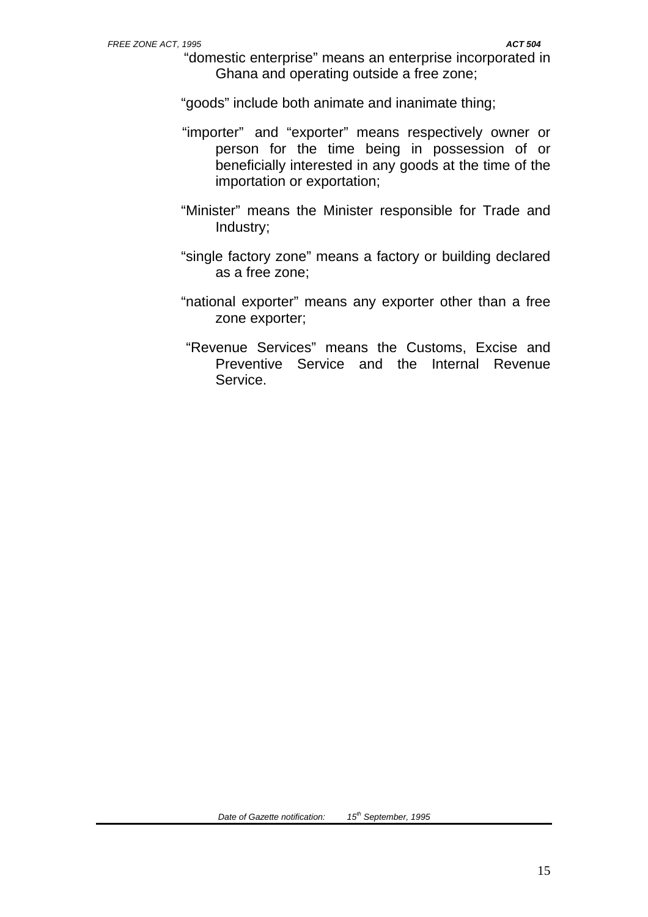"domestic enterprise" means an enterprise incorporated in Ghana and operating outside a free zone;

"goods" include both animate and inanimate thing;

- "importer" and "exporter" means respectively owner or person for the time being in possession of or beneficially interested in any goods at the time of the importation or exportation;
- "Minister" means the Minister responsible for Trade and Industry;
- "single factory zone" means a factory or building declared as a free zone;
- "national exporter" means any exporter other than a free zone exporter;
- "Revenue Services" means the Customs, Excise and Preventive Service and the Internal Revenue Service.